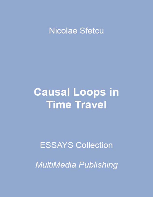### **Nicolae Sfetcu**

# **Causal Loops in Time Travel**

## **ESSAYS Collection**

**MultiMedia Publishing**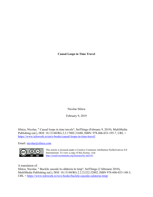**Causal Loops in Time Travel**

Nicolae Sfetcu

February 9, 2019

Sfetcu, Nicolae, " Causal loops in time travels", SetThings (February 9, 2019), MultiMedia Publishing (ed.), DOI: 10.13140/RG.2.2.17802.31680, ISBN: 978-606-033-195-7, URL = <https://www.telework.ro/en/e-books/causal-loops-in-time-travel/>

Email: [nicolae@sfetcu.com](mailto:nicolae@sfetcu.com)



This article is licensed under a Creative Commons Attribution-NoDerivatives 4.0 International. To view a copy of this license, visit [http://creativecommons.org/licenses/by-nd/4.0/.](http://creativecommons.org/licenses/by-nd/4.0/)

A translation of:

Sfetcu, Nicolae, " Buclele cauzale în călătoria în timp", SetThings (2 februarie 2018), MultiMedia Publishing (ed.), DOI: 10.13140/RG.2.2.21222.52802, ISBN 978-606-033-148-3, URL =<https://www.telework.ro/ro/e-books/buclele-cauzale-calatoria-timp/>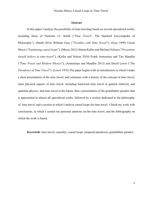#### **Abstract**

In this paper I analyze the possibility of time traveling based on several specialized works, including those of Nicholas J.J. Smith ("*Time Travel*", The Stanford Encyclopedia of Philosophy"), (Smith 2016) William Grey ("*Troubles with Time Travel*"), (Grey 1999) Ulrich Meyer ("*Explaining causal loops*"), (Meyer 2012) Simon Keller and Michael Nelson ("*Presentists should believe in time-travel*"), (Keller and Nelson 2010) Frank Arntzenius and Tim Maudlin ("*Time Travel and Modern Physics*"), (Arntzenius and Maudlin 2013) and David Lewis ("*The Paradoxes of Time Travel*"). (Lewis 1976) The paper begins with an introduction in which I make a short presentation of the time travel, and continues with a history of the concept of time travel, main physical aspects of time travel, including backward time travel in general relativity and quantum physics, and time travel in the future, then a presentation of the grandfather paradox that is approached in almost all specialized works, followed by a section dedicated to the philosophy of time travel, and a section in which I analyze causal loops for time travel. I finish my work with conclusions, in which I sustain my personal opinions on the time travel, and the bibliography on which the work is based.

**Keywords**: time travel, causality, causal loops, temporal paradoxes, grandfather paradox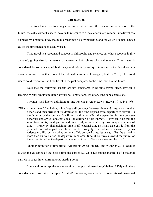#### **Introduction**

Time travel involves traveling in a time different from the present, in the past or in the future, basically without a space move with reference to a local coordinate system. Time travel can be made by a material body that may or may not be a living being, and for which a special device called the time machine is usually used.

Time travel is a recognized concept in philosophy and science, but whose scope is highly disputed, giving rise to numerous paradoxes in both philosophy and science. Time travel is considered by some accepted both in general relativity and quantum mechanics, but there is a unanimous consensus that it is not feasible with current technology. (Hawkins 2010) The raised issues are different for the time travel in the past compared to the time travel in the future.

Note that the following aspects are not considered to be time travel: sleep, cryogenic freezing, virtual reality simulator, crystal ball predictions, isolation, time zone change, etc.

The most well-known definition of time travel is given by Lewis: (Lewis 1976, 145–46)

"What is time travel? Inevitably, it involves a discrepancy between time and time. Any traveller departs and then arrives at his destination; the time elapsed from departure to arrival…is the duration of the journey. But if he is a time traveller, the separation in time between departure and arrival does not equal the duration of his journey.…How can it be that the same two events, his departure and his arrival, are separated by two unequal amounts of time?…I reply by distinguishing time itself, external time as I shall also call it, from the personal time of a particular time traveller: roughly, that which is measured by his wristwatch. His journey takes an hour of his personal time, let us say…But the arrival is more than an hour after the departure in external time, if he travels toward the future; or the arrival is before the departure in external time…if he travels toward the past."

Another definition of time travel (Arntzenius 2006) (Smeenk and Wüthrich 2011) equates it with the existence of the closed timelike curves (CTC), a Lorentzian manifold of a material particle in spacetime returning to its starting point.

Some authors accept the existence of two temporal dimensions, (Meiland 1974) and others consider scenarios with multiple "parallel" universes, each with its own four-dimensional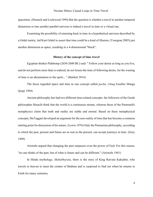spacetime. (Deutsch and Lockwood 1994) But the question is whether a travel in another temporal dimension or into another parallel universe is indeed a travel in time or a virtual one.

Examining the possibility of returning back in time in a hypothetical universe described by a Gödel metric, led Kurt Gödel to assert that time could be a kind of illusion, (Yourgrau 2005) just another dimension as space, resulting in a 4-dimensional "block".

#### **History of the concept of time travel**

Egyptian thinker Ptahhotep (2650-2600 BC) said: " Follow your desire as long as you live, and do not perform more than is ordered, do not lessen the time of following desire, for the wasting of time is an abomination to the spirit... " (Bartlett 2014)

The Incas regarded space and time as one concept called *pacha*. (Atuq Eusebio Manga Qespi 1994)

Ancient philosophy has had two different time-related concepts: the followers of the Greek philosopher Heraclit think that the world is a continuous stream, whereas those of the Parmenid's metaphysics claim that truth and reality are stable and eternal. Based on these metaphysical concepts, McTaggart developed an argument for the non-reality of time that has become a common starting point for discussion of his nature. (Lewis 1976) Only the Parmenian philosophy, according to which the past, present and future are as real as the present, can accept journeys in time. (Grey 1999)

Aristotle argued that changing the past surpasses even the power of God. For this reason, "no one thinks of the past, but of what is future and can be different." (Aristotle 1941)

In Hindu mythology, *Mahabharata*, there is the story of King Raivata Kakudmi, who travels to heaven to meet the creator of Brahma and is surprised to find out when he returns to Earth for many centuries.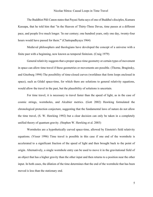#### Nicolae Sfetcu: Causal Loops in Time Travel

The Buddhist Pāli Canon states that Payasi Sutta says of one of Buddha's disciples, Kumara Kassapa, that he told him that "in the Heaven of Thirty-Three Devas, time passes at a different pace, and people live much longer. 'In our century; one hundred years, only one day, twenty-four hours would have passed for them.'" (Chattopadhyaya 1964)

Medieval philosophers and theologians have developed the concept of a universe with a finite past with a beginning, now known as temporal finiteism. (Craig 1979)

General relativity suggests that a proper space-time geometry or certain types of movement in space can allow time travel if these geometries or movements are possible. (Thorne, Braginsky, and Ginzburg 1994) The possibility of time-closed curves (worldines that form loops enclosed in space), such as Gödel space-time, for which there are solutions to general relativity equations, would allow the travel in the past, but the plausibility of solutions is uncertain.

For time travel, it is necessary to travel faster than the speed of light, as in the case of cosmic strings, wormholes, and Alcubier metrics. (Gott 2002) Hawking formulated the chronological protection conjecture, suggesting that the fundamental laws of nature do not allow the time travel, (S. W. Hawking 1992) but a clear decision can only be taken in a completely unified theory of quantum gravity. (Stephen W. Hawking et al. 2003)

Wormholes are a hypothetically curved space-time, allowed by Einstein's field relativity equations. (Visser 1996) Time travel is possible in this case if one end of the wormhole is accelerated to a significant fraction of the speed of light and then brought back to the point of origin. Alternatively, a single wormhole entry can be used to move it in the gravitational field of an object that has a higher gravity than the other input and then returns to a position near the other input. In both cases, the dilation of the time determines that the end of the wormhole that has been moved is less than the stationary end.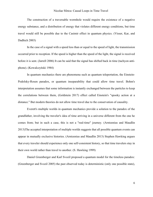The construction of a traversable wormhole would require the existence of a negative energy substance, and a distribution of energy that violates different energy conditions, but time travel would still be possible due to the Casimir effect in quantum physics. (Visser, Kar, and Dadhich 2003)

In the case of a signal with a speed less than or equal to the speed of light, the transmission occurred prior to reception. If the speed is higher than the speed of the light, the signal is received before it is sent. (Jarrell 2006) It can be said that the signal has shifted back in time (tachyon antiphone). (Kowalczyński 1984)

In quantum mechanics there are phenomena such as quantum teleportation, the Einstein-Podolsky-Rosen paradox, or quantum inseparability that could allow time travel. Bohm's interpretation assumes that some information is instantly exchanged between the particles to keep the correlations between them, (Goldstein 2017) effect called Einstein's "spooky action at a distance." But modern theories do not allow time travel due to the conservation of causality.

Everett's multiple worlds in quantum mechanics provide a solution to the paradox of the grandfather, involving the traveler's idea of time arriving in a universe different from the one he comes from; but in such a case, this is not a "real-time" journey. (Arntzenius and Maudlin 2013)The accepted interpretation of multiple worlds suggests that all possible quantum events can appear in mutually exclusive histories. (Arntzenius and Maudlin 2013) Stephen Hawking argues that every traveler should experience only one self-consistent history, so that time travelers stay in their own world rather than travel to another. (S. Hawking 1999)

Daniel Greenberger and Karl Svozil proposed a quantum model for the timeless paradox: (Greenberger and Svozil 2005) the past observed today is deterministic (only one possible state),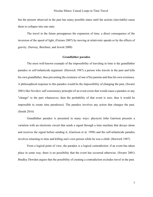but the present observed in the past has many possible states until the actions (inevitable) cause them to collapse into one state.

The travel in the future presupposes the expansion of time, a direct consequence of the inversion of the speed of light, (Ferraro 2007) by moving at relativistic speeds or by the effects of gravity. (Serway, Beichner, and Jewett 2000)

#### **Grandfather paradox**

The most well-known example of the impossibility of traveling in time is the grandfather paradox or self-infanticide argument: (Horwich 1987) a person who travels in the past and kills his own grandfather, thus preventing the existence of one of his parents and thus his own existence. A philosophical response to this paradox would be the impossibility of changing the past, (Swartz 2001) like Novikov self-consistency principle (if an event exists that would cause a paradox or any "change" to the past whatsoever, then the probability of that event is zero, thus it would be impossible to create time paradoxes). The paradox involves any action that changes the past. (Smith 2016)

Grandfather paradox is presented in many ways: physicist John Garrison presents a variation with an electronic circuit that sends a signal through a time machine that decays alone and receives the signal before sending it, (Garrison et al. 1998) and the self-infanticide paradox involves returning to time and killing one's own person while he was a child. (Horwich 1987)

From a logical point of view, the paradox is a logical contradiction: if an event has taken place in some way, there is no possibility that the event has occurred otherwise. (Swartz 2001) Bradley Dowden argues that the possibility of creating a contradiction excludes travel in the past.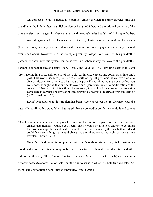An approach to this paradox is a parallel universe: when the time traveler kills his grandfather, he kills in fact a parallel version of his grandfather, and the original universe of the time traveler is unchanged; in other variants, the time traveler tries but fails to kill his grandfather.

According to Novikov self-consistency principle, physics in or near closed timelike curves (time machines) can only be in accordance with the universal laws of physics, and so only coherent events can occur. Novikov used the example given by Joseph Polchinski for his grandfather paradox to show how this system can be solved in a coherent way that avoids the grandfather paradox, although it creates a causal loop. (Lossev and Novikov 1992) Hawking states as follows:

"By traveling in a space ship on one of these closed timelike curves, one could travel into one's past. This would seem to give rise to all sorts of logical problems, if you were able to change history. For example, what would happen if you killed your parents before you were born. It might be that one could avoid such paradoxes by some modification of the concept of free will. But this will not be necessary if what I call the chronology protection conjecture is correct: The laws of physics prevent closed timelike curves from appearing." (S. W. Hawking 1992)

Lewis' own solution to this problem has been widely accepted: the traveler may enter the

past without killing his grandfather, but we still have a contradiction: for he can do it and cannot

#### do it:

" Could a time traveler change the past? It seems not: the events of a past moment could no more change than numbers could. Yet it seems that he would be as able as anyone to do things that would change the past if he did them. If a time traveler visiting the past both could and couldn't do something that would change it, then there cannot possibly be such a time traveler." (Lewis 1976)

Grandfather's shooting is compossible with the facts about his weapon, his formation, his

mood, and so on, but it is not compossible with other facts, such as the fact that his grandfather

did not die this way. Thus, "murder" is true in a sense (relative to a set of facts) and false in a

different sense (to another set of facts), but there is no sense in which it is both true and false. So,

there is no contradiction here - just an ambiguity. (Smith 2016)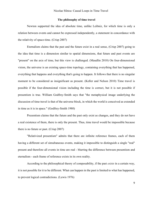#### **The philosophy of time travel**

Newton supported the idea of absolute time, unlike Leibniz, for which time is only a relation between events and cannot be expressed independently, a statement in concordance with the relativity of space-time. (Crisp 2007)

Eternalism claims that the past and the future exist in a real sense, (Crisp 2007) going to the idea that time is a dimension similar to spatial dimensions, that future and past events are "present" on the axis of time, but this view is challenged. (Maudlin 2010) On four-dimensional vision, the universe is an existing space-time topology, containing everything that has happened, everything that happens and everything that's going to happen. It follows that there is no singular moment to be considered as insignificant as present. (Keller and Nelson 2010) Time travel is possible if the four-dimensional vision including the time is correct, but it is not possible if presentism is true. William Godfrey-Smith says that "the metaphysical image underlying the discussion of time travel is that of the universe block, in which the world is conceived as extended in time as it is in space." (Godfrey-Smith 1980)

Prezentism claims that the future and the past only exist as changes, and they do not have a real existence of them, there is only the present. Thus, time travel would be impossible because there is no future or past. (Crisp 2007)

"Relativized presentism" admits that there are infinite reference frames, each of them having a different set of simultaneous events, making it impossible to distinguish a single "real" present and therefore all events in time are real - blurring the difference between presentism and eternalism - each frame of reference exists in its own reality.

According to the philosophical theory of composability, if the past *exists* in a certain way, it is not possible for it to be different. What can happen in the past is limited to what has happened, to prevent logical contradictions. (Lewis 1976)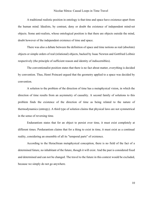A traditional realistic position in ontology is that time and space have existence apart from the human mind. Idealists, by contrast, deny or doubt the existence of independent mind-set objects. Some anti-realists, whose ontological position is that there are objects outside the mind, doubt however of the independent existence of time and space.

There was also a debate between the definition of space and time notions as real (absolute) objects or simple orders of real (relational) objects, backed by Isaac Newton and Gottfried Leibniz respectively (the principle of sufficient reason and identity of indiscernibles).

The conventionalist position states that there is no fact about matter, everything is decided by convention. Thus, Henri Poincaré argued that the geometry applied to a space was decided by convention.

A solution to the problem of the direction of time has a metaphysical vision, in which the direction of time results from an asymmetry of causality. A second family of solutions to this problem finds the existence of the direction of time as being related to the nature of thermodynamics (entropy). A third type of solution claims that physical laws are not symmetrical in the sense of reversing time.

Endurantism states that for an object to persist over time, it must exist completely at different times. Perdurantism claims that for a thing to exist in time, it must exist as a continual reality, considering an ensemble of all its "temporal parts" of existence.

According to the Heraclitean metaphysical conception, there is no field of the fact of a determined future, no inhabitant of the future, though it will exist. And the past is considered fixed and determined and can not be changed. The travel to the future in this context would be excluded, because we simply do not go anywhere.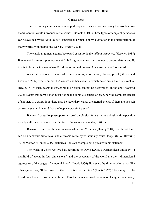#### **Causal loops**

There is, among some scientists and philosophers, the idea that any theory that would allow the time travel would introduce causal issues. (Bolonkin 2011) These types of temporal paradoxes can be avoided by the Novikov self-consistency principle or by a variation in the interpretation of many worlds with interacting worlds. (Everett 2004)

The classic argument against backward causality is the *bilking argument*. (Horwich 1987) If an event A causes a previous event B, bilking recommends an attempt to de-correlate A and B, that is to bring A in cases where B did not occur and prevent A in cases where B occurred.

A causal loop is a sequence of events (actions, information, objects, people) (Lobo and Crawford 2002) where an event A causes another event B, which determines the first event A. (Rea 2014) At such events in spacetime their origin can not be determined. (Lobo and Crawford 2002) Events that form a loop must not be the complete causes of each, nor the complete effects of another. In a causal loop there may be secondary causes or external events. If there are no such causes or events, it is said that the loop is *causally isolated*.

Backward causality presupposes a closed ontological future - a metaphysical time position usually called eternalism, a specific form of non-presentism. (Faye 2001)

Backward time travels determine causality loops? Hanley (Hanley 2004) asserts that there can be a backward time travel and a reverse causality without any causal loops. (S. W. Hawking 1992) Monton (Monton 2009) criticizes Hanley's example but agrees with his statement.

The world in which we live has, according to David Lewis, a Parmenidean ontology: "a manifold of events in four dimensions," and the occupants of the world are the 4-dimensional aggregates of the stages - "temporal lines". (Lewis 1976) However, the time traveler is not like other aggregates; "If he travels to the past it is a zigzag line." (Lewis 1976) There may also be broad lines that are travels in the future. This Parmenidean world of temporal stages immediately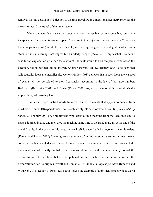removes the "no destination" objection to the time travel. Four-dimensional geometry provides the means to record the travel of the time traveler.

Many believe that causality loops are not impossible or unacceptable, but only inexplicable. There were two main types of response to this objection. Lewis (Lewis 1976) accepts that a loop (as a whole) would be inexplicable, such as Big Bang or the disintegration of a tritium atom, but it is just strange, not impossible. Similarly, Meyer (Meyer 2012) argues that if someone asks for an explanation of a loop (as a whole), the fault would fall on the person who asked the question, not on our inability to answer. Another answer, Hanley, (Hanley 2004) is to deny that (all) causality loops are inexplicable. Mellor (Mellor 1998) believes that in such loops the chances of events will not be related to their frequencies, according to the law of the large number. Berkovitz (Berkovitz 2001) and Dowe (Dowe 2001) argue that Mellor fails to establish the impossibility of causality loops.

The causal loops in backwards time travel involve events that appear to "come from nowhere," (Smith 2016) paradoxical "self-existent" objects or information, resulting in a *bootstrap paradox*. (Toomey 2007) A time traveler who steals a time machine from the local museum to make a journey in time and then give the machine same time to the same museum at the end of the travel (that is, in the past); in this case, the car itself is never built by anyone - it simply exists. (Everett and Roman 2012) Everett gives an example of an *informational paradox*: a time traveler copies a mathematical demonstration from a manual, then travels back in time to meet the mathematician who firstly published the demonstration, the mathematician simply copied the demonstration at one time before the publication, in which case the information in the demonstration had no origin. (Everett and Roman 2012) Or an *ontological paradox*: (Smeenk and Wüthrich 2011) Kelley L. Ross (Ross 2016) gives the example of a physical object whose world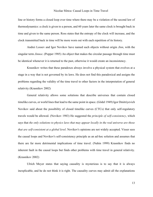line or history forms a closed loop over time where there may be a violation of the second law of thermodynamics: a clock is given to a person, and 60 years later the same clock is brought back in time and given to the same person. Ross states that the entropy of the clock will increase, and the clock transmitted back in time will be more worn out with each repetition of its history.

Andrei Lossev and Igor Novikov have named such objects without origin *Jinn*, with the singular term *Jinnee*. (Popper 1985) An object that makes the circular passage through time must be identical whenever it is returned to the past, otherwise it would create an inconsistency.

Krasnikov writes that these paradoxes always involve a physical system that evolves at a stage in a way that is not governed by its laws. He does not find this paradoxical and assigns the problems regarding the validity of the time travel to other factors in the interpretation of general relativity (Krasnikov 2002)

General relativity allows some solutions that describe universes that contain closed timelike curves, or world lines that lead to the same point in space. (Gödel 1949) Igor Dmitriyevich Novikov said about the possibility of closed timelike curves (CTCs) that only self-regulatory travels would be allowed. (Novikov 1983) He suggested the *principle of self-consistency*, which says that *the only solutions to physics laws that may appear locally in the real universe are those that are self-consistent at a global level*. Novikov's opinions are not widely accepted. Visser sees the causal loops and Novikov's self-consistency principle as an ad-hoc solution and assumes that there are far more detrimental implications of time travel. (Nahin 1999) Krasnikov finds no inherent fault in the causal loops but finds other problems with time travel in general relativity. (Krasnikov 2002)

Ulrich Meyer states that saying causality is mysterious is to say that it is always inexplicable, and he do not think it is right. The causality curves may admit all the explanations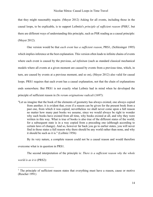that they might reasonably require. (Meyer 2012) Asking for all events, including those in the causal loops, to be explicable, is to support Leibnitz's *principle of sufficient reason* (PSR) 1 , but there are different ways of understanding this principle, such as PSR reading as a causal principle: (Meyer 2012).

One version would be that *each event has a sufficient reason*, PRS1, (Schlesinger 1995) which implies inference at the best explanation. This version often leads to infinite chains of events where each event is caused by the previous, *ad infinitum* (such as standard classical mechanical models where all events at a given moment are caused by events from a previous time, which, in turn, are caused by events at a previous moment, and so on), (Meyer 2012) also valid for causal loops. PRS1 requires that each event has a causal explanation, not that the chain of explanations ends somewhere. But PRS1 is not exactly what Leibniz had in mind when he developed the principle of sufficient reason in *De rerum originatione radicali* (1697):

"Let us imagine that the book of the elements of geometry has always existed, one always copied from another; it is evident that, even if a reason can be given for the present book from a past one, from which it was copied, nevertheless we shall never come upon a full reason no matter how many past books we assume, since we would always be right to wonder why such books have existed from all time, why books existed at all, and why they were written in this way. What is true of books is also true of the different states of the world; for a subsequent state is in a way copied from a preceding one (although according to certain laws of change). And so, however far back you go to earlier states, you will never find in those states a full reason why there should be any world rather than none, and why it should be such as it is." (Leibniz 1956)

By its very nature, a complete reason could not be a causal reason and would therefore overcome what is in question in PRS1.

The second interpretation of the principle is: *There is a sufficient reason why the whole world is as it is* (PRS2):

 $<sup>1</sup>$  The principle of sufficient reason states that everything must have a reason, cause or motive</sup> (Rescher 1991)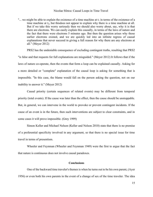"... we might be able to explain the existence of a time machine at  $t_1$  in terms of the existence of a time machine at t<sub>2</sub>, but thisdoes not appear to explain why there is a time machine at all. But if we take this worry seriously then we should also worry about, say, why it is that there are electrons. We can easily explain this causally, in terms of the laws of nature and the fact that there were electrons 5 minutes ago. But then the question arises why those earlier electrons existed, and we are quickly led into an infinite regress of causal explanations that never succeed in giving a full reason for why there are any electrons at all." (Meyer 2012)

PRS2 has the undeniable consequence of excluding contingent truths, resulting that PRS2 "is false and that requests for full explanations are misguided." (Meyer 2012) It follows that if the laws of nature co-operate, then the events that form a loop can be explained causally. Asking for a more detailed or "complete" explanation of the causal loop is asking for something that is impossible. "In this case, the blame would fall on the person asking the question, not on our inability to answer it." (Meyer 2012)

Causal priority (certain sequences of related events) may be different from temporal priority (total events). If the cause was later than the effect, then the cause should be unstoppable. But, in general, we can intervene in the world to provoke or prevent contingent incidents. If the cause of an event is in the future, then such interventions are subject to clear constraints, and in some cases it will prove impossible. (Grey 1999)

Simon Keller and Michael Nelson (Keller and Nelson 2010) state that there is no premise of a preferential specificity involved in any argument, so that there is no special issue for time travel in terms of presentism.

Wheeler and Feynman (Wheeler and Feynman 1949) were the first to argue that the fact that nature is continuous does not involve causal paradoxes.

#### **Conclusions**

One of the backward time traveler's themes is when he turns out to be his own parent, (Ayer 1956) or even both his own parents in the event of a change of sex of the time traveler. The idea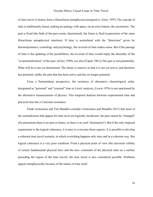of time travel is bizarre from a Heraclitean metaphysical perspective. (Grey 1997) The concept of time is traditionally based, making an analogy with space, on an extra feature, the asymmetry. The past is fixed (the field of the past events, determined), the future is fluid (expressions of the same Heraclitean metaphysical intuition). If time is assimilated with the "directions" given by thermodynamics, cosmology and psychology, the reversal of time makes sense. But if the passage of time is the updating of the possibilities, the reversal of time would imply the absurdity of the "re-potentialization" of the past. ((Grey 1999), see also (Čapek 1961)) The past is not potentiality. What will be is not yet determined. The future is inactive in that it is not yet active, and therefore has potential, unlike the past that has been active and has no longer potential.

From a Parmenidean perspective, the existence of alternative chronological order, designated as "personal" and "external" time in Lewis' analysis, (Lewis 1976) is not sanctioned by the alternative measurements of physics. This temporal dualism between experimental time and physical time has a Cartesian resonance.

Frank Arntzenius and Tim Maudlin consider (Arntzenius and Maudlin 2013) that most of the contradictions that appear for time tavel are logically incoherent: the past cannot be "changed" (for presentism there is no past or future, so there is no such "destination"). But if the only imposed requirement is the logical coherence, it is easy to overcome these aspects. It is possible to develop a coherent time travel scenario, in which everything happens only once and in a coherent way. But logical coherence is a very poor condition. From a physical point of view (the universal validity of certain fundamental physical laws and the non- constraint of the physical state on a surface preceding the region of the time travel), the time travel is also considered possible. Problems appear metaphysically because of the nature of time itself.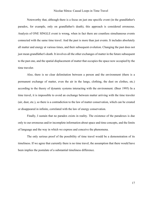Noteworthy that, although there is a focus on just one specific event (in the grandfather's paradox, for example, only on grandfather's death), this approach is considered erroneous. Analysis of ONE SINGLE event is wrong, when in fact there are countless simultaneous events connected with the same time travel. And the past is more than just events. It includes absolutely all matter and energy at various times, and their subsequent evolution. Changing the past does not just mean grandfather's death. It involves all the other exchanges of matter in the future subsequent to the past one, and the spatial displacement of matter that occupies the space now occupied by the time traveler.

Also, there is no clear delimitation between a person and the environment (there is a permanent exchange of matter, even the air in the lungs, clothing, the dust on clothes, etc.) according to the theory of dynamic systems interacting with the environment. (Beer 1995) In a time travel, it is impossible to avoid an exchange between matter arriving with the time traveler (air, dust, etc.), so there is a contradiction to the law of matter conservation, which can be created or disappeared in infinite, correlated with the law of energy conservation.

Finally, I sustain that no paradox exists in reality. The existence of the paradoxes is due only to our erroneous and/or incomplete information about space and time concepts, and the limits of language and the way in which we express and conceive the phenomena.

The only serious proof of the possibility of time travel would be a demonstration of its timeliness. If we agree that currently there is no time travel, the assumption that there would have been implies the postulate of a substantial timeliness difference.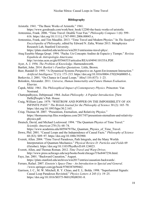#### **Bibliography**

Aristotle. 1941. "The Basic Works of Aristotle." 1941.

https://www.goodreads.com/work/best\_book/12280-the-basic-works-of-aristotle.

- Arntzenius, Frank. 2006. "Time Travel: Double Your Fun." *Philosophy Compass* 1 (6): 599– 616. https://doi.org/10.1111/j.1747-9991.2006.00045.x.
- Arntzenius, Frank, and Tim Maudlin. 2013. "Time Travel and Modern Physics." In *The Stanford Encyclopedia of Philosophy*, edited by Edward N. Zalta, Winter 2013. Metaphysics Research Lab, Stanford University.

https://plato.stanford.edu/archives/win2013/entriesime-travel-phys/.

Atuq Eusebio Manga Qespi. 1994. "Pacha: Un Concepto Andino de Espacio y Tiempo." *Revísta Española de Antropología Americana*.

http://revistas.ucm.es/ghi/05566533/articulos/REAA9494110155A.PDF.

- Ayer, A. J. 1956. *The Problem of Knowledge*. Harmondsworth.
- Bartlett, John. 2014. *Bartlett's Familiar Quotations*. Little, Brown.

Beer, Randall D. 1995. "A Dynamical Systems Perspective on Agent-Environment Interaction." *Artificial Intelligence* 72 (1): 173–215. https://doi.org/10.1016/0004-3702(94)00005-L.

- Berkovitz, J. 2001. "On Chance in Causal Loops." *Mind* 110 (437): 1–23.
- Bolonkin, Alexander. 2011. *Universe, Human Immortality and Future Human Evaluation*. Elsevier.
- Čapek, Milič. 1961. *The Philosophical Impact of Contemporary Physics*. Princeton: Van Nostrand.
- Chattopadhyaya, Debiprasad. 1964. *Indian Philosophy: A Popular Introduction*. [New Delhi]People's Pub. House.
- Craig, William Lane. 1979. "WHITROW AND POPPER ON THE IMPOSSIBILITY OF AN INFINITE PAST." *The British Journal for the Philosophy of Science* 30 (2): 165–70. https://doi.org/10.1093/bjps/30.2.165.
- Crisp, Thomas M. 2007. "Presentism, Eternalism, and Relativity Physics." https://thomasmcrisp.files.wordpress.com/2017/07/presentism-eternalism-and-relativityphysics.pdf.
- Deutsch, David, and Michael Lockwood. 1994. "The Quantum Physics of Time Travel." *Scientific American* 270 (3): 68–74. https://www.academia.edu/6059479/The Quantum Physics of Time Travel.
- Dowe, Phil. 2001. "Causal Loops and the Independence of Causal Facts." *Philosophy of Science*
- 68 (S3): S89–97. https://doi.org/10.1086/392900.
- Everett, Allen. 2004. "Time Travel Paradoxes, Path Integrals, and the Many Worlds Interpretation of Quantum Mechanics." *Physical Review D: Particles and Fields* 69 (October). https://doi.org/10.1103/PhysRevD.69.124023.
- Everett, Allen, and Thomas Roman. 2012. *Time Travel and Warp Drives*. http://www.press.uchicago.edu/ucp/books/book/chicago/T/bo8447256.html.
- Faye, Jan. 2001. "Backward Causation," August. https://plato.stanford.edu/archives/win2017/entries/causation-backwards/.
- Ferraro, Rafael. 2007. *Einstein's Space-Time - An Introduction to Special and General*. //www.springer.com/gp/book/9780387699462.
- Garrison, J. C., M. W. Mitchell, R. Y. Chiao, and E. L. Bolda. 1998. "Superluminal Signals: Causal Loop Paradoxes Revisited." *Physics Letters A* 245 (1): 19–25. https://doi.org/10.1016/S0375-9601(98)00381-8.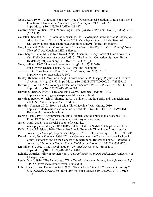- Gödel, Kurt. 1949. "An Example of a New Type of Cosmological Solutions of Einstein's Field Equations of Gravitation." *Reviews of Modern Physics* 21 (3): 447–50. https://doi.org/10.1103/RevModPhys.21.447.
- Godfrey-Smith, William. 1980. "Travelling in Time: [Analysis 'Problem' No. 18]." *Analysis* 40 (2): 72–73.
- Goldstein, Sheldon. 2017. "Bohmian Mechanics." In *The Stanford Encyclopedia of Philosophy*, edited by Edward N. Zalta, Summer 2017. Metaphysics Research Lab, Stanford University. https://plato.stanford.edu/archives/sum2017/entries/qm-bohm/.
- Gott, J. Richard. 2002. *Time Travel in Einstein's Universe: The Physical Possibilities of Travel Through Time*. Houghton Mifflin Harcourt.
- Greenberger, Daniel M., and Karl Svozil. 2005. "Quantum Theory Looks at Time Travel." In *Quo Vadis Quantum Mechanics?*, 63–71. The Frontiers Collection. Springer, Berlin, Heidelberg. https://doi.org/10.1007/3-540-26669-0\_4.
- Grey, William. 1997. "Time and Becoming." *Cogito* 11 (3): 215–20. https://www.academia.edu/7483089/Time\_and\_becoming. ———. 1999. "Troubles with Time Travel." *Philosophy* 74 (287): 55–70. http://www.jstor.org/stable/3752093.
- Hanley, Richard. 2004. "No End in Sight: Causal Loops in Philosophy, Physics and Fiction." *Synthese* 141 (1): 123–52. https://doi.org/10.1023/B:SYNT.0000035847.28833.4f.
- Hawking, S. W. 1992. "Chronology Protection Conjecture." *Physical Review D* 46 (2): 603–11. https://doi.org/10.1103/PhysRevD.46.603.
- Hawking, Stephen. 1999. "Space and Time Warps." Stephen Hawking. 1999. http://www.hawking.org.uk/space-and-time-warps.html.
- Hawking, Stephen W., Kip S. Thorne, Igor D. Novikov, Timothy Ferris, and Alan Lightman. 2003. *The Future of Spacetime*. Norton.
- Hawkins, Stephen. 2010. "How to Build a Time Machine." Mail Online. 2010. http://www.dailymail.co.uk/home/moslive/article-1269288/STEPHEN-HAWKING-How-build-time-machine.html.
- Horwich, Paul. 1987. "Asymmetries in Time: Problems in the Philosophy of Science." MIT Press. 1987. https://mitpress.mit.edu/books/asymmetries-time.
- Jarrell, Mark. 2006. "The Special Theory of Relativity." www.phys.lsu.edu/~jarrell/COURSES/ELECTRODYNAMICS/Chap11/chap11.tex.
- Keller, S, and M Nelson. 2010. "Presentists Should Believe in Time-Travel." *Australasian Journal of Philosophy* September 1 (April): 333–45. https://doi.org/10.1080/713931204.
- Kowalczyński, Jerzy Klemens. 1984. "Critical Comments on the Discussion about Tachyonic Causal Paradoxes and on the Concept of Superluminal Reference Frame." *International Journal of Theoretical Physics* 23 (1): 27–60. https://doi.org/10.1007/BF02080670.
- Krasnikov, S. 2002. "Time Travel Paradox." *Physical Review D* 65 (6): 064013. https://doi.org/10.1103/PhysRevD.65.064013.
- Leibniz, Gottfried Wilhelm Freiherr von. 1956. *Philosophical Papers and Letters*. University of Chicago Press.
- Lewis, David. 1976. "The Paradoxes of Time Travel." *American Philosophical Quarterly* 13 (2): 145–52. http://www.jstor.org/stable/20009616.
- Lobo, Francisco, and Paulo Crawford. 2002. "Time, Closed Timelike Curves and Causality." *NATO Science Series II* 95 (July): 289–96. https://doi.org/10.1007/978-94-010-0155- 7\_30.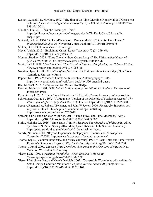Lossev, A., and I. D. Novikov. 1992. "The Jinn of the Time Machine: Nontrivial Self-Consistent Solutions." *Classical and Quantum Gravity* 9 (10): 2309. https://doi.org/10.1088/0264- 9381/9/10/014.

Maudlin, Tim. 2010. "On the Passing of Time." https://philocosmology.rutgers.edu/images/uploads/TimDavidClass/05-maudlinchap04.pdf.

- Meiland, Jack W. 1974. "A Two-Dimensional Passage Model of Time for Time Travel." *Philosophical Studies* 26 (November). https://doi.org/10.1007/BF00398876.
- Mellor, D. H. 1998. *Real Time Ii*. Routledge.
- Meyer, Ulrich. 2012. "Explaining Causal Loops." *Analysis* 72 (2): 259–64. https://doi.org/10.1093/analys/ans045.
- Monton, Bradley. 2009. "Time Travel without Causal Loops." *The Philosophical Quarterly (1950-)* 59 (234): 54–67. http://www.jstor.org/stable/40208578.
- Nahin, Paul J. 1999. *Time Machines: Time Travel in Physics, Metaphysics, and Science Fiction*. //www.springer.com/gp/book/9780387985718.
- Novikov, Igor D. 1983. *Evolution of the Universe*. 1St Edition edition. Cambridge ; New York: Cambridge University Press.
- Popper, Karl. 1985. "Unended Quest: An Intellectual Autobiography." 1985. https://www.goodreads.com/work/best\_book/494526-unended-quest.
- Rea, Michael. 2014. *Metaphysics: The Basics*. Routledge.
- Rescher, Nicholas. 1991. *G.W. Leibniz's Monadology: An Edition for Students*. University of Pittsburgh Press.
- Ross, Kelley L. 2016. "Time Travel Paradoxes." 2016. http://www.friesian.com/paradox.htm.
- Schlesinger, George N. 1995. "A Pragmatic Version of the Principle of Sufficient Reason." *The Philosophical Quarterly (1950-)* 45 (181): 439–59. https://doi.org/10.2307/2220308.
- Serway, Raymond A, Robert J Beichner, and John W Jewett. 2000. *Physics for Scientists and Engineers*. 5th ed. Philadelphia : Saunders College Publishing. https://trove.nla.gov.au/version/7626018.
- Smeenk, Chris, and Christian Wüthrich. 2011. "Time Travel and Time Machines," April. https://doi.org/10.1093/oxfordhb/9780199298204.003.0021.
- Smith, Nicholas J.J. 2016. "Time Travel." In *The Stanford Encyclopedia of Philosophy*, edited by Edward N. Zalta, Spring 2016. Metaphysics Research Lab, Stanford University. https://plato.stanford.edu/archives/spr2016/entriesime-travel/.
- Swartz, Norman. 2001. "Beyond Experience: Metaphysical Theories and Philosophical Constraints." 2001. http://www.sfu.ca/~swartz/beyond\_experience/.
- Thorne, Kip S., Vladimir Braginsky, and Vitaly Ginzburg. 1994. "Black Holes and Time Warps: Einstein's Outrageous Legacy." *Physics Today*. https://doi.org/10.1063/1.2808700.
- Toomey, David. 2007. *The New Time Travelers: A Journey to the Frontiers of Physics*. New York: W. W. Norton & Company.
- Visser, Matt. 1996. *Lorentzian Wormholes - From Einstein to Hawking*. //www.springer.com/gp/book/9781563966538.
- Visser, Matt, Sayan Kar, and Naresh Dadhich. 2003. "Traversable Wormholes with Arbitrarily Small Energy Condition Violations." *Physical Review Letters* 90 (June): 201102. https://doi.org/10.1103/PhysRevLett.90.201102.